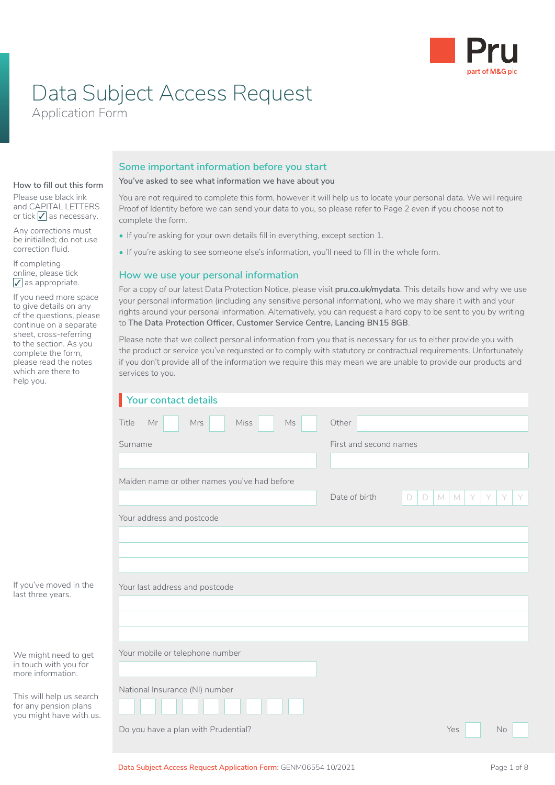

# Data Subject Access Request

Application Form

#### **Some important information before you start**

**How to fill out this form**

Please use black ink and CAPITAL LETTERS or tick  $\sqrt{\ }$  as necessary.

Any corrections must be initialled; do not use correction fluid.

If completing online, please tick  $\sqrt{}$  as appropriate.

If you need more space to give details on any of the questions, please continue on a separate sheet, cross-referring to the section. As you complete the form, please read the notes which are there to help you.

**You've asked to see what information we have about you**

You are not required to complete this form, however it will help us to locate your personal data. We will require Proof of Identity before we can send your data to you, so please refer to Page 2 even if you choose not to complete the form.

- If you're asking for your own details fill in everything, except section 1.
- If you're asking to see someone else's information, you'll need to fill in the whole form.

#### **How we use your personal information**

For a copy of our latest Data Protection Notice, please visit **pru.co.uk/mydata**. This details how and why we use your personal information (including any sensitive personal information), who we may share it with and your rights around your personal information. Alternatively, you can request a hard copy to be sent to you by writing to **The Data Protection Officer, Customer Service Centre, Lancing BN15 8GB**.

Please note that we collect personal information from you that is necessary for us to either provide you with the product or service you've requested or to comply with statutory or contractual requirements. Unfortunately if you don't provide all of the information we require this may mean we are unable to provide our products and services to you.

|                                                  | Your contact details                               |                                                             |  |  |  |
|--------------------------------------------------|----------------------------------------------------|-------------------------------------------------------------|--|--|--|
|                                                  | Title<br><b>Miss</b><br>$\mathsf{Ms}$<br>Mr<br>Mrs | Other                                                       |  |  |  |
|                                                  | Surname                                            | First and second names                                      |  |  |  |
|                                                  |                                                    |                                                             |  |  |  |
|                                                  | Maiden name or other names you've had before       |                                                             |  |  |  |
|                                                  |                                                    | Date of birth<br>$\Box$<br>$\Box$<br>$M$ $M$<br>Y<br>Y<br>Y |  |  |  |
|                                                  | Your address and postcode                          |                                                             |  |  |  |
|                                                  |                                                    |                                                             |  |  |  |
|                                                  |                                                    |                                                             |  |  |  |
|                                                  |                                                    |                                                             |  |  |  |
| If you've moved in the<br>last three years.      | Your last address and postcode                     |                                                             |  |  |  |
|                                                  |                                                    |                                                             |  |  |  |
|                                                  |                                                    |                                                             |  |  |  |
| We might need to get                             | Your mobile or telephone number                    |                                                             |  |  |  |
| in touch with you for<br>more information.       |                                                    |                                                             |  |  |  |
| This will help us search                         | National Insurance (NI) number                     |                                                             |  |  |  |
| for any pension plans<br>you might have with us. |                                                    |                                                             |  |  |  |
|                                                  | Do you have a plan with Prudential?                | Yes<br><b>No</b>                                            |  |  |  |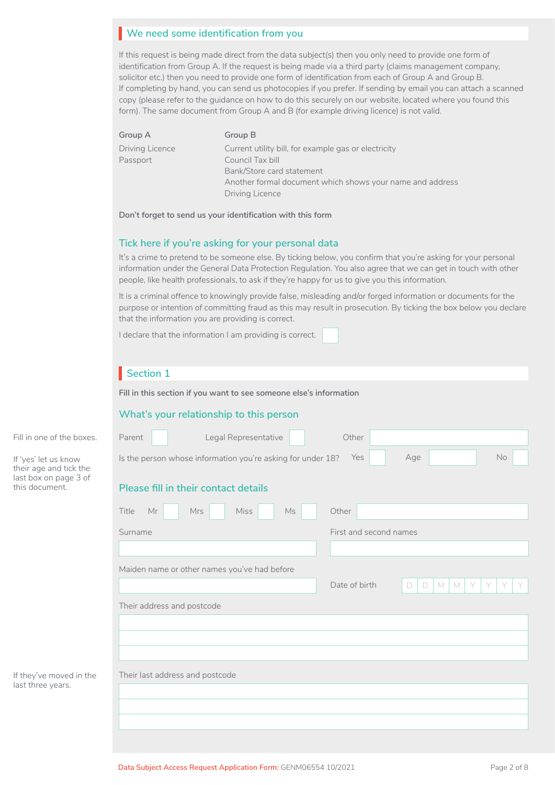## **We need some identification from you**  I

If this request is being made direct from the data subject(s) then you only need to provide one form of identification from Group A. If the request is being made via a third party (claims management company, solicitor etc.) then you need to provide one form of identification from each of Group A and Group B. If completing by hand, you can send us photocopies if you prefer. If sending by email you can attach a scanned copy (please refer to the guidance on how to do this securely on our website, located where you found this form). The same document from Group A and B (for example driving licence) is not valid.

| Group A         | Group B                                                   |
|-----------------|-----------------------------------------------------------|
| Driving Licence | Current utility bill, for example gas or electricity      |
| Passport        | Council Tax bill                                          |
|                 | Bank/Store card statement                                 |
|                 | Another formal document which shows your name and address |
|                 | Driving Licence                                           |
|                 |                                                           |

**Don't forget to send us your identification with this form**

#### **Tick here if you're asking for your personal data**

It's a crime to pretend to be someone else. By ticking below, you confirm that you're asking for your personal information under the General Data Protection Regulation. You also agree that we can get in touch with other people, like health professionals, to ask if they're happy for us to give you this information.

It is a criminal offence to knowingly provide false, misleading and/or forged information or documents for the purpose or intention of committing fraud as this may result in prosecution. By ticking the box below you declare that the information you are providing is correct.

I declare that the information I am providing is correct.

## **Section 1**

**Fill in this section if you want to see someone else's information**

#### **What's your relationship to this person**

| No<br>Yes<br>Age<br>Is the person whose information you're asking for under 18? |  |  |  |
|---------------------------------------------------------------------------------|--|--|--|
| Please fill in their contact details                                            |  |  |  |
|                                                                                 |  |  |  |
|                                                                                 |  |  |  |
|                                                                                 |  |  |  |
| Y<br>Y<br>Y                                                                     |  |  |  |
| M<br>M<br>Y<br>$\Box$<br>D<br>Their address and postcode                        |  |  |  |
|                                                                                 |  |  |  |
|                                                                                 |  |  |  |
|                                                                                 |  |  |  |
|                                                                                 |  |  |  |
|                                                                                 |  |  |  |
|                                                                                 |  |  |  |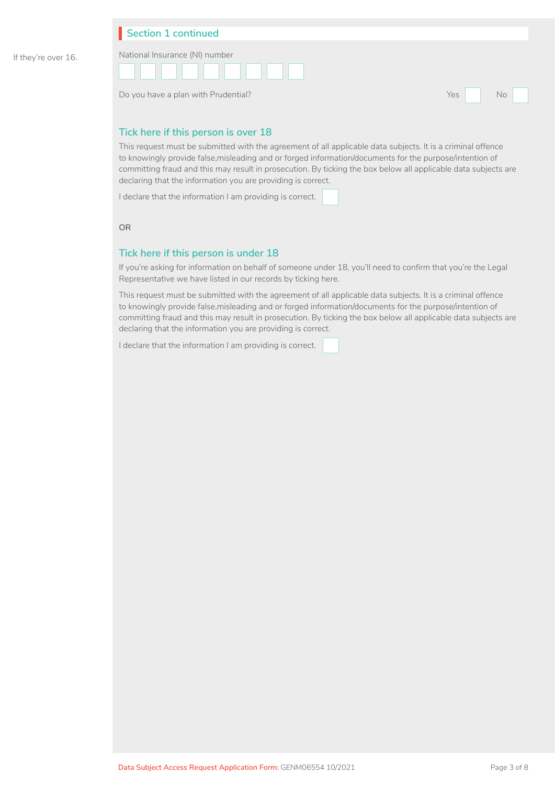#### **Section 1 continued**



Do you have a plan with Prudential? The Contract of the Contract of the Contract of the North States of the No

 $\Box$  No  $\Box$ 

#### **Tick here if this person is over 18**

This request must be submitted with the agreement of all applicable data subjects. It is a criminal offence to knowingly provide false,misleading and or forged information/documents for the purpose/intention of committing fraud and this may result in prosecution. By ticking the box below all applicable data subjects are declaring that the information you are providing is correct.

I declare that the information I am providing is correct.

**OR**

#### **Tick here if this person is under 18**

If you're asking for information on behalf of someone under 18, you'll need to confirm that you're the Legal Representative we have listed in our records by ticking here.

This request must be submitted with the agreement of all applicable data subjects. It is a criminal offence to knowingly provide false,misleading and or forged information/documents for the purpose/intention of committing fraud and this may result in prosecution. By ticking the box below all applicable data subjects are declaring that the information you are providing is correct.

I declare that the information I am providing is correct.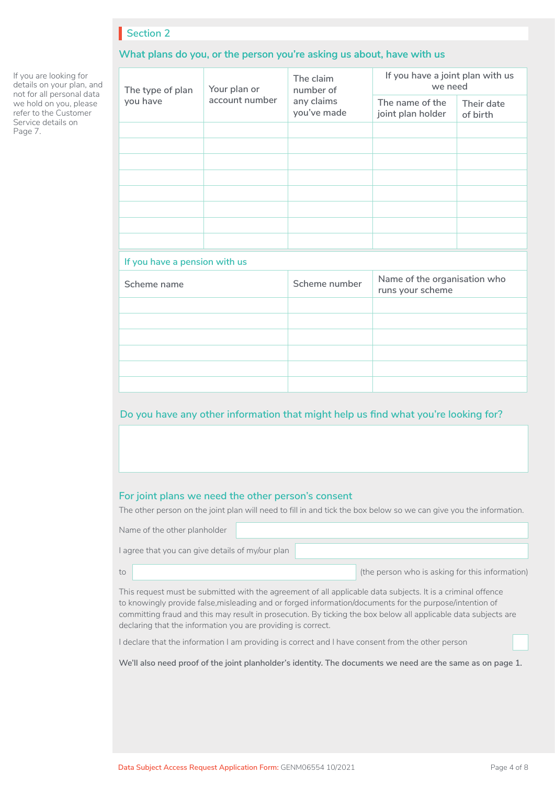#### **What plans do you, or the person you're asking us about, have with us**

**The type of plan you have Your plan or account number The claim number of any claims you've made If you have a joint plan with us we need The name of the joint plan holder Their date of birth If you have a pension with us Scheme name Scheme number Name of the organisation who Scheme number Name of the organisation who runs your scheme**

#### **Do you have any other information that might help us find what you're looking for?**

#### **For joint plans we need the other person's consent**

The other person on the joint plan will need to fill in and tick the box below so we can give you the information.

Name of the other planholder

to

I agree that you can give details of my/our plan

(the person who is asking for this information)

This request must be submitted with the agreement of all applicable data subjects. It is a criminal offence to knowingly provide false,misleading and or forged information/documents for the purpose/intention of committing fraud and this may result in prosecution. By ticking the box below all applicable data subjects are declaring that the information you are providing is correct.

I declare that the information I am providing is correct and I have consent from the other person

**We'll also need proof of the joint planholder's identity. The documents we need are the same as on page 1.** 

If you are looking for details on your plan, and not for all personal data we hold on you, please refer to the Customer Service details on Page 7.

□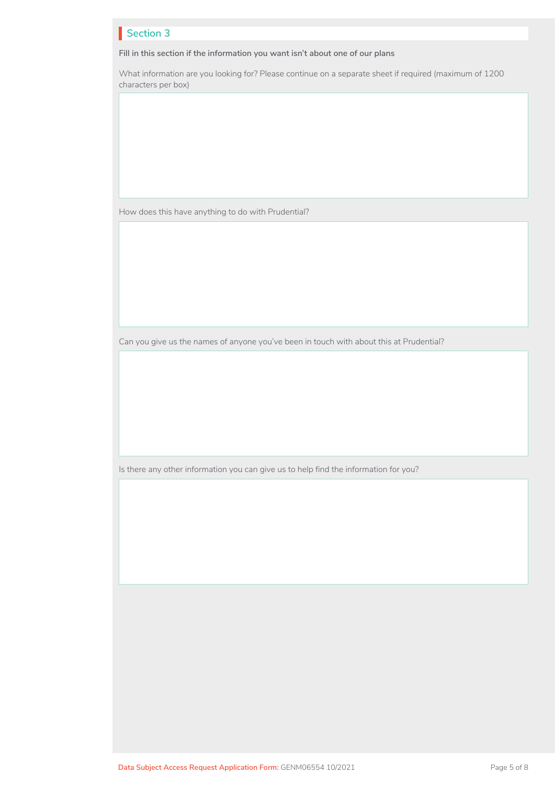**Fill in this section if the information you want isn't about one of our plans**

What information are you looking for? Please continue on a separate sheet if required (maximum of 1200 characters per box)

How does this have anything to do with Prudential?

Can you give us the names of anyone you've been in touch with about this at Prudential?

Is there any other information you can give us to help find the information for you?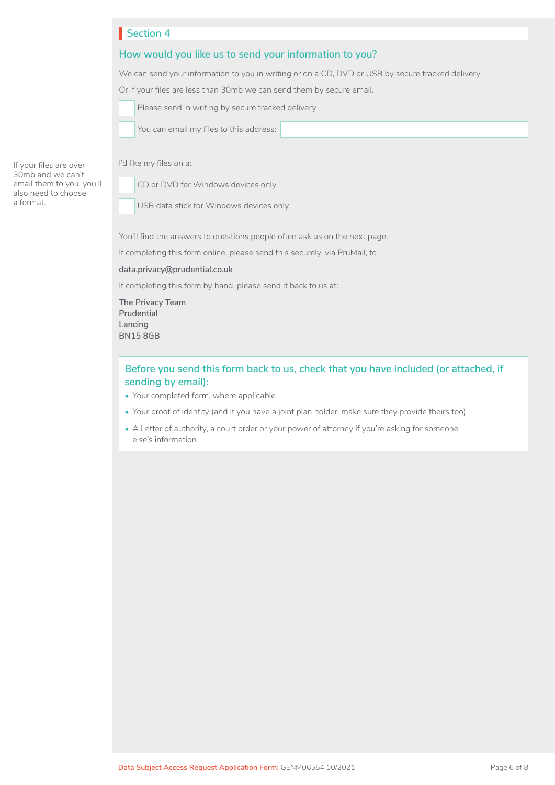#### **How would you like us to send your information to you?**

We can send your information to you in writing or on a CD, DVD or USB by secure tracked delivery.

Or if your files are less than 30mb we can send them by secure email.

| <u>UT ILY VUITTINUU ULU INUU UTULI UUTTIN YYN NU LUITTU UTULII I</u> |  |
|----------------------------------------------------------------------|--|
| Please send in writing by secure tracked delivery                    |  |
|                                                                      |  |

You can email my files to this address:

If your files are over 30mb and we can't email them to you, you'll also need to choose a format.

I'd like my files on a:

CD or DVD for Windows devices only

□□ USB data stick for Windows devices only

You'll find the answers to questions people often ask us on the next page.

If completing this form online, please send this securely, via PruMail, to

**[data.privacy@prudential.co.uk](mailto:data.privacy@prudential.co.uk )**

If completing this form by hand, please send it back to us at:

**The Privacy Team Prudential Lancing BN15 8GB**

#### **Before you send this form back to us, check that you have included (or attached, if sending by email):**

- Your completed form, where applicable
- Your proof of identity (and if you have a joint plan holder, make sure they provide theirs too)
- A Letter of authority, a court order or your power of attorney if you're asking for someone else's information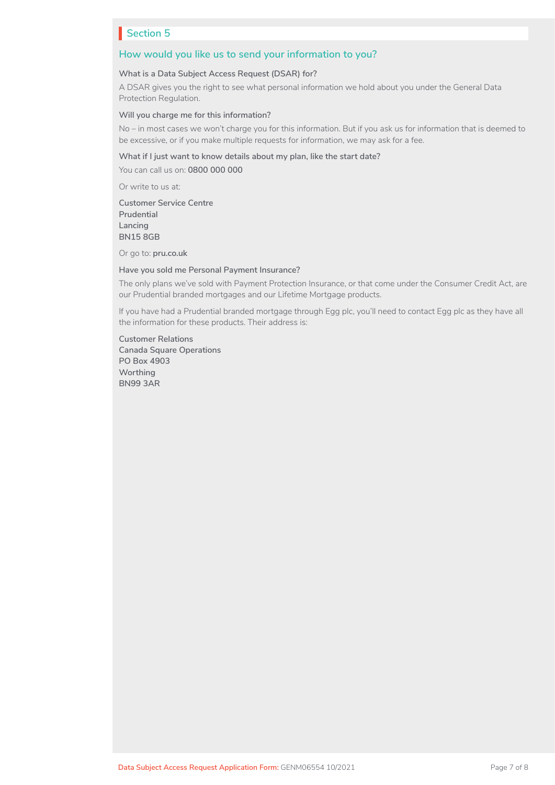#### **How would you like us to send your information to you?**

#### **What is a Data Subject Access Request (DSAR) for?**

A DSAR gives you the right to see what personal information we hold about you under the General Data Protection Regulation.

#### **Will you charge me for this information?**

No – in most cases we won't charge you for this information. But if you ask us for information that is deemed to be excessive, or if you make multiple requests for information, we may ask for a fee.

#### **What if I just want to know details about my plan, like the start date?**

You can call us on: **0800 000 000**

Or write to us at:

**Customer Service Centre Prudential Lancing BN15 8GB**

Or go to: **[pru.co.uk](http://pru.co.uk)**

**Have you sold me Personal Payment Insurance?**

The only plans we've sold with Payment Protection Insurance, or that come under the Consumer Credit Act, are our Prudential branded mortgages and our Lifetime Mortgage products.

If you have had a Prudential branded mortgage through Egg plc, you'll need to contact Egg plc as they have all the information for these products. Their address is:

**Customer Relations Canada Square Operations PO Box 4903 Worthing BN99 3AR**